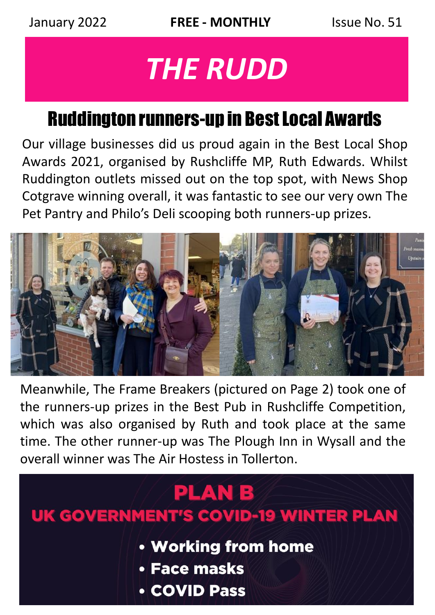# *THE RUDD*

# Ruddington runners-up in Best Local Awards

Our village businesses did us proud again in the Best Local Shop Awards 2021, organised by Rushcliffe MP, Ruth Edwards. Whilst Ruddington outlets missed out on the top spot, with News Shop Cotgrave winning overall, it was fantastic to see our very own The Pet Pantry and Philo's Deli scooping both runners-up prizes.



Meanwhile, The Frame Breakers (pictured on Page 2) took one of the runners-up prizes in the Best Pub in Rushcliffe Competition, which was also organised by Ruth and took place at the same time. The other runner-up was The Plough Inn in Wysall and the overall winner was The Air Hostess in Tollerton.

# **PLANB**

# **UK GOVERNMENT'S COVID-19 WINTER PLAN**

- Working from home
- Face masks
- **COVID Pass**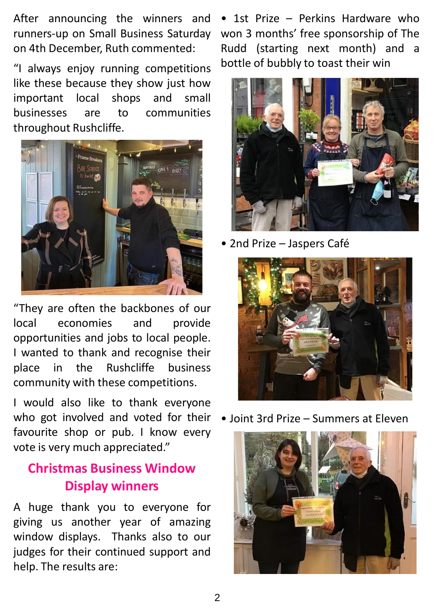After announcing the winners and runners-up on Small Business Saturday on 4th December, Ruth commented:

"I always enjoy running competitions like these because they show just how important local shops and small businesses are to communities throughout Rushcliffe.



"They are often the backbones of our local economies and provide opportunities and jobs to local people. I wanted to thank and recognise their place in the Rushcliffe business community with these competitions.

I would also like to thank everyone who got involved and voted for their • Joint 3rd Prize – Summers at Eleven favourite shop or pub. I know every vote is very much appreciated."

#### **Christmas Business Window Display winners**

A huge thank you to everyone for giving us another year of amazing window displays. Thanks also to our judges for their continued support and help. The results are:

• 1st Prize – Perkins Hardware who won 3 months' free sponsorship of The Rudd (starting next month) and a bottle of bubbly to toast their win



• 2nd Prize – Jaspers Café



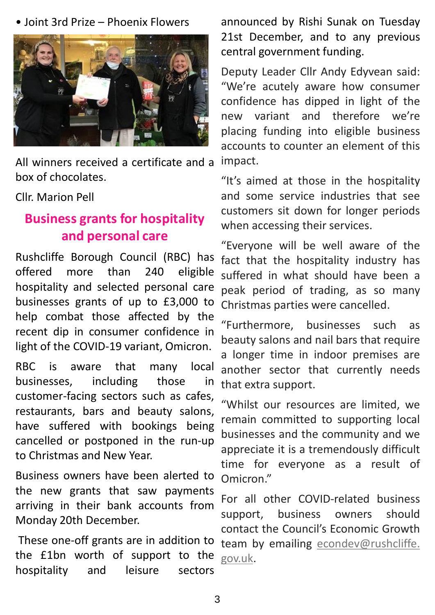• Joint 3rd Prize – Phoenix Flowers



All winners received a certificate and a box of chocolates.

#### Cllr. Marion Pell

#### **Business grants for hospitality and personal care**

Rushcliffe Borough Council (RBC) has offered more than 240 eligible hospitality and selected personal care businesses grants of up to £3,000 to help combat those affected by the recent dip in consumer confidence in light of the COVID-19 variant, Omicron.

RBC is aware that many local businesses, including those in customer-facing sectors such as cafes, restaurants, bars and beauty salons, have suffered with bookings being cancelled or postponed in the run-up to Christmas and New Year.

Business owners have been alerted to the new grants that saw payments arriving in their bank accounts from Monday 20th December.

These one-off grants are in addition to the £1bn worth of support to the <sub>gov.uk</sub>. hospitality and leisure sectors

announced by Rishi Sunak on Tuesday 21st December, and to any previous central government funding.

Deputy Leader Cllr Andy Edyvean said: "We're acutely aware how consumer confidence has dipped in light of the new variant and therefore we're placing funding into eligible business accounts to counter an element of this impact.

"It's aimed at those in the hospitality and some service industries that see customers sit down for longer periods when accessing their services.

"Everyone will be well aware of the fact that the hospitality industry has suffered in what should have been a peak period of trading, as so many Christmas parties were cancelled.

"Furthermore, businesses such as beauty salons and nail bars that require a longer time in indoor premises are another sector that currently needs that extra support.

"Whilst our resources are limited, we remain committed to supporting local businesses and the community and we appreciate it is a tremendously difficult time for everyone as a result of Omicron."

For all other COVID-related business support, business owners should contact the Council's Economic Growth team by emailing [econdev@rushcliffe.](mailto:econdev@rushcliffe.gov.uk)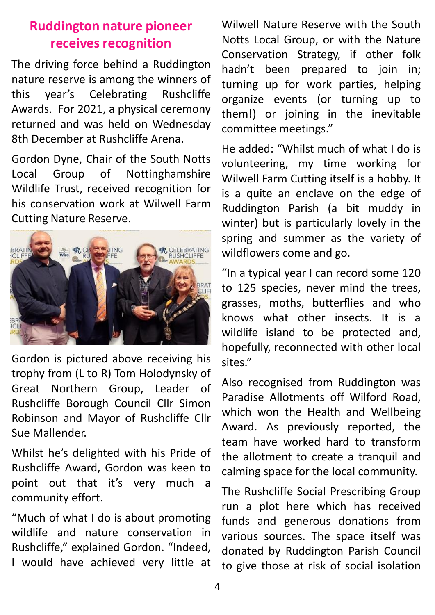#### **Ruddington nature pioneer receives recognition**

The driving force behind a Ruddington nature reserve is among the winners of this year's Celebrating Rushcliffe Awards. For 2021, a physical ceremony returned and was held on Wednesday 8th December at Rushcliffe Arena.

Gordon Dyne, Chair of the South Notts Local Group of Nottinghamshire Wildlife Trust, received recognition for his conservation work at Wilwell Farm Cutting Nature Reserve.



Gordon is pictured above receiving his trophy from (L to R) Tom Holodynsky of Great Northern Group, Leader of Rushcliffe Borough Council Cllr Simon Robinson and Mayor of Rushcliffe Cllr Sue Mallender.

Whilst he's delighted with his Pride of Rushcliffe Award, Gordon was keen to point out that it's very much a community effort.

"Much of what I do is about promoting wildlife and nature conservation in Rushcliffe," explained Gordon. "Indeed, I would have achieved very little at

Wilwell Nature Reserve with the South Notts Local Group, or with the Nature Conservation Strategy, if other folk hadn't been prepared to join in; turning up for work parties, helping organize events (or turning up to them!) or joining in the inevitable committee meetings."

He added: "Whilst much of what I do is volunteering, my time working for Wilwell Farm Cutting itself is a hobby. It is a quite an enclave on the edge of Ruddington Parish (a bit muddy in winter) but is particularly lovely in the spring and summer as the variety of wildflowers come and go.

"In a typical year I can record some 120 to 125 species, never mind the trees, grasses, moths, butterflies and who knows what other insects. It is a wildlife island to be protected and, hopefully, reconnected with other local sites."

Also recognised from Ruddington was Paradise Allotments off Wilford Road, which won the Health and Wellbeing Award. As previously reported, the team have worked hard to transform the allotment to create a tranquil and calming space for the local community.

The Rushcliffe Social Prescribing Group run a plot here which has received funds and generous donations from various sources. The space itself was donated by Ruddington Parish Council to give those at risk of social isolation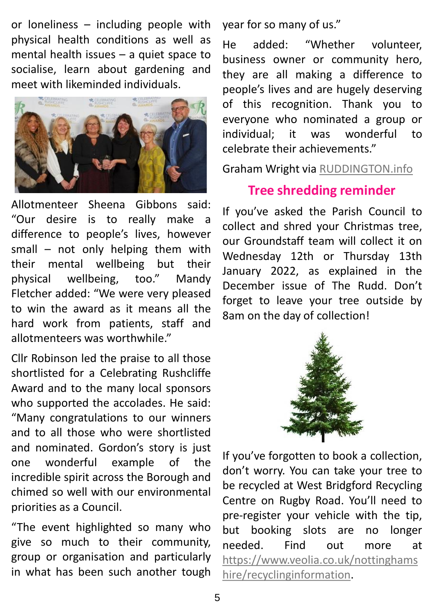or loneliness – including people with physical health conditions as well as mental health issues – a quiet space to socialise, learn about gardening and meet with likeminded individuals.



Allotmenteer Sheena Gibbons said: "Our desire is to really make a difference to people's lives, however small – not only helping them with their mental wellbeing but their physical wellbeing, too." Mandy Fletcher added: "We were very pleased to win the award as it means all the hard work from patients, staff and allotmenteers was worthwhile."

Cllr Robinson led the praise to all those shortlisted for a Celebrating Rushcliffe Award and to the many local sponsors who supported the accolades. He said: "Many congratulations to our winners and to all those who were shortlisted and nominated. Gordon's story is just one wonderful example of the incredible spirit across the Borough and chimed so well with our environmental priorities as a Council.

"The event highlighted so many who give so much to their community, group or organisation and particularly in what has been such another tough year for so many of us."

He added: "Whether volunteer, business owner or community hero, they are all making a difference to people's lives and are hugely deserving of this recognition. Thank you to everyone who nominated a group or individual; it was wonderful to celebrate their achievements."

Graham Wright via [RUDDINGTON.info](http://www.ruddington.info/)

#### **Tree shredding reminder**

If you've asked the Parish Council to collect and shred your Christmas tree, our Groundstaff team will collect it on Wednesday 12th or Thursday 13th January 2022, as explained in the December issue of The Rudd. Don't forget to leave your tree outside by 8am on the day of collection!



If you've forgotten to book a collection, don't worry. You can take your tree to be recycled at West Bridgford Recycling Centre on Rugby Road. You'll need to pre-register your vehicle with the tip, but booking slots are no longer needed. Find out more at [https://www.veolia.co.uk/nottinghams](https://www.veolia.co.uk/nottinghamshire/recyclinginformation) hire/recyclinginformation.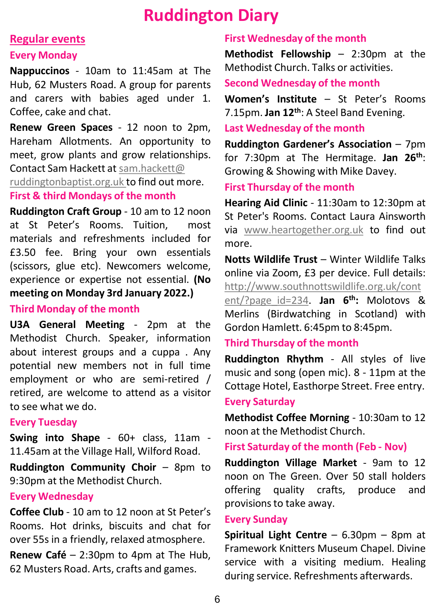### **Ruddington Diary**

#### **Regular events**

#### **Every Monday**

**Nappuccinos** - 10am to 11:45am at The Hub, 62 Musters Road. A group for parents and carers with babies aged under 1. Coffee, cake and chat.

**Renew Green Spaces** - 12 noon to 2pm, Hareham Allotments. An opportunity to meet, grow plants and grow relationships. Contact Sam Hackett at [sam.hackett@](mailto:sam.hackett@ruddingtonbaptist.org.uk) [ruddingtonbaptist.org.uk](mailto:sam.hackett@ruddingtonbaptist.org.uk) to find out more. **First & third Mondays of the month**

**Ruddington Craft Group** - 10 am to 12 noon at St Peter's Rooms. Tuition, most materials and refreshments included for £3.50 fee. Bring your own essentials (scissors, glue etc). Newcomers welcome, experience or expertise not essential. **(No meeting on Monday 3rd January 2022.)**

#### **Third Monday of the month**

**U3A General Meeting** - 2pm at the Methodist Church. Speaker, information about interest groups and a cuppa . Any potential new members not in full time employment or who are semi-retired / retired, are welcome to attend as a visitor to see what we do.

#### **Every Tuesday**

**Swing into Shape** - 60+ class, 11am - 11.45am at the Village Hall, Wilford Road.

**Ruddington Community Choir** – 8pm to 9:30pm at the Methodist Church.

#### **Every Wednesday**

**Coffee Club** - 10 am to 12 noon at St Peter's Rooms. Hot drinks, biscuits and chat for over 55s in a friendly, relaxed atmosphere.

**Renew Café** – 2:30pm to 4pm at The Hub, 62 Musters Road. Arts, crafts and games.

#### **First Wednesday of the month**

**Methodist Fellowship** – 2:30pm at the Methodist Church. Talks or activities.

#### **Second Wednesday of the month**

**Women's Institute** – St Peter's Rooms 7.15pm. **Jan 12th**: A Steel Band Evening.

#### **Last Wednesday of the month**

**Ruddington Gardener's Association** – 7pm for 7:30pm at The Hermitage. **Jan 26th**: Growing & Showing with Mike Davey.

#### **First Thursday of the month**

**Hearing Aid Clinic** - 11:30am to 12:30pm at St Peter's Rooms. Contact Laura Ainsworth via [www.heartogether.org.uk](http://www.heartogether.org.uk/) to find out more.

**Notts Wildlife Trust** – Winter Wildlife Talks online via Zoom, £3 per device. Full details: [http://www.southnottswildlife.org.uk/cont](http://www.southnottswildlife.org.uk/content/?page_id=234)

ent/?page\_id=234. **Jan 6 th:** Molotovs & Merlins (Birdwatching in Scotland) with Gordon Hamlett. 6:45pm to 8:45pm.

#### **Third Thursday of the month**

**Ruddington Rhythm** - All styles of live music and song (open mic). 8 - 11pm at the Cottage Hotel, Easthorpe Street. Free entry.

#### **Every Saturday**

**Methodist Coffee Morning** - 10:30am to 12 noon at the Methodist Church.

**First Saturday of the month (Feb - Nov)**

**Ruddington Village Market** - 9am to 12 noon on The Green. Over 50 stall holders offering quality crafts, produce and provisions to take away.

#### **Every Sunday**

**Spiritual Light Centre** – 6.30pm – 8pm at Framework Knitters Museum Chapel. Divine service with a visiting medium. Healing during service. Refreshments afterwards.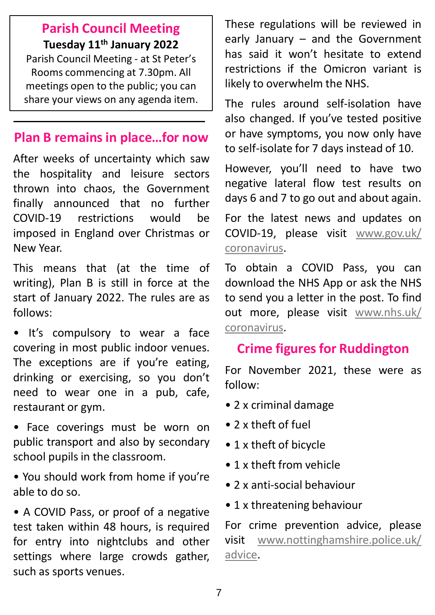#### **Parish Council Meeting Tuesday 11th January 2022**

Parish Council Meeting - at St Peter's Rooms commencing at 7.30pm. All meetings open to the public; you can share your views on any agenda item.

#### **Plan B remains in place…for now**

After weeks of uncertainty which saw the hospitality and leisure sectors thrown into chaos, the Government finally announced that no further COVID-19 restrictions would be imposed in England over Christmas or New Year.

This means that (at the time of writing), Plan B is still in force at the start of January 2022. The rules are as follows:

• It's compulsory to wear a face covering in most public indoor venues. The exceptions are if you're eating, drinking or exercising, so you don't need to wear one in a pub, cafe, restaurant or gym.

- Face coverings must be worn on public transport and also by secondary school pupils in the classroom.
- You should work from home if you're able to do so.

• A COVID Pass, or proof of a negative test taken within 48 hours, is required for entry into nightclubs and other settings where large crowds gather, such as sports venues.

These regulations will be reviewed in early January – and the Government has said it won't hesitate to extend restrictions if the Omicron variant is likely to overwhelm the NHS.

The rules around self-isolation have also changed. If you've tested positive or have symptoms, you now only have to self-isolate for 7 days instead of 10.

However, you'll need to have two negative lateral flow test results on days 6 and 7 to go out and about again.

For the latest news and updates on COVID-19, please visit [www.gov.uk/](http://www.gov.uk/coronavirus) coronavirus.

To obtain a COVID Pass, you can download the NHS App or ask the NHS to send you a letter in the post. To find out more, please visit [www.nhs.uk/](http://www.nhs.uk/coronavirus) coronavirus.

#### **Crime figures for Ruddington**

For November 2021, these were as follow:

- 2 x criminal damage
- 2 x theft of fuel
- 1 x theft of bicycle
- 1 x theft from vehicle
- 2 x anti-social behaviour
- 1 x threatening behaviour

For crime prevention advice, please visit [www.nottinghamshire.police.uk/](http://www.nottinghamshire.police.uk/advice) advice.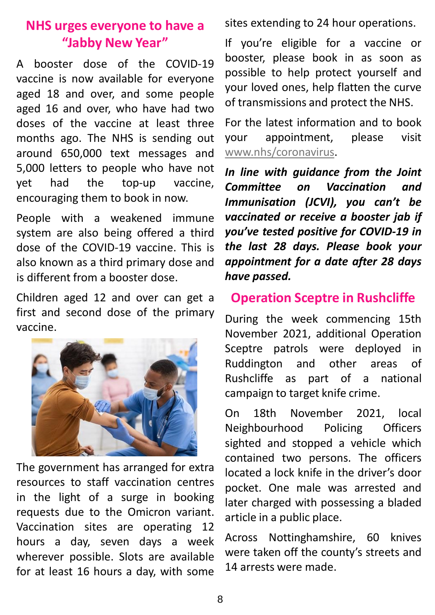#### **NHS urges everyone to have a "Jabby New Year"**

A booster dose of the COVID-19 vaccine is now available for everyone aged 18 and over, and some people aged 16 and over, who have had two doses of the vaccine at least three months ago. The NHS is sending out around 650,000 text messages and 5,000 letters to people who have not yet had the top-up vaccine, encouraging them to book in now.

People with a weakened immune system are also being offered a third dose of the COVID-19 vaccine. This is also known as a third primary dose and is different from a booster dose.

Children aged 12 and over can get a first and second dose of the primary vaccine.



The government has arranged for extra resources to staff vaccination centres in the light of a surge in booking requests due to the Omicron variant. Vaccination sites are operating 12 hours a day, seven days a week wherever possible. Slots are available for at least 16 hours a day, with some sites extending to 24 hour operations.

If you're eligible for a vaccine or booster, please book in as soon as possible to help protect yourself and your loved ones, help flatten the curve of transmissions and protect the NHS.

For the latest information and to book your appointment, please visit [www.nhs/coronavirus.](http://www.nhs/coronavirus)

*In line with guidance from the Joint Committee on Vaccination and Immunisation (JCVI), you can't be vaccinated or receive a booster jab if you've tested positive for COVID-19 in the last 28 days. Please book your appointment for a date after 28 days have passed.*

#### **Operation Sceptre in Rushcliffe**

During the week commencing 15th November 2021, additional Operation Sceptre patrols were deployed in Ruddington and other areas of Rushcliffe as part of a national campaign to target knife crime.

On 18th November 2021, local Neighbourhood Policing Officers sighted and stopped a vehicle which contained two persons. The officers located a lock knife in the driver's door pocket. One male was arrested and later charged with possessing a bladed article in a public place.

Across Nottinghamshire, 60 knives were taken off the county's streets and 14 arrests were made.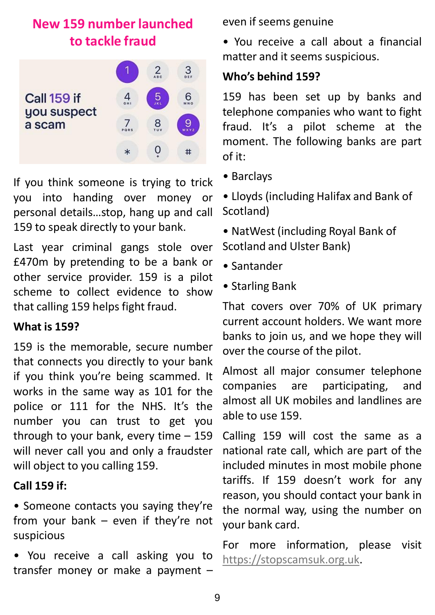### **New 159 number launched to tackle fraud**



If you think someone is trying to trick you into handing over money or personal details…stop, hang up and call 159 to speak directly to your bank.

Last year criminal gangs stole over £470m by pretending to be a bank or other service provider. 159 is a pilot scheme to collect evidence to show that calling 159 helps fight fraud.

#### **What is 159?**

159 is the memorable, secure number that connects you directly to your bank if you think you're being scammed. It works in the same way as 101 for the police or 111 for the NHS. It's the number you can trust to get you through to your bank, every time – 159 will never call you and only a fraudster will object to you calling 159.

#### **Call 159 if:**

• Someone contacts you saying they're from your bank – even if they're not suspicious

• You receive a call asking you to transfer money or make a payment – even if seems genuine

• You receive a call about a financial matter and it seems suspicious.

#### **Who's behind 159?**

159 has been set up by banks and telephone companies who want to fight fraud. It's a pilot scheme at the moment. The following banks are part of it:

• Barclays

• Lloyds (including Halifax and Bank of Scotland)

• NatWest (including Royal Bank of Scotland and Ulster Bank)

- Santander
- Starling Bank

That covers over 70% of UK primary current account holders. We want more banks to join us, and we hope they will over the course of the pilot.

Almost all major consumer telephone companies are participating, and almost all UK mobiles and landlines are able to use 159.

Calling 159 will cost the same as a national rate call, which are part of the included minutes in most mobile phone tariffs. If 159 doesn't work for any reason, you should contact your bank in the normal way, using the number on your bank card.

For more information, please visit [https://stopscamsuk.org.uk](https://stopscamsuk.org.uk/).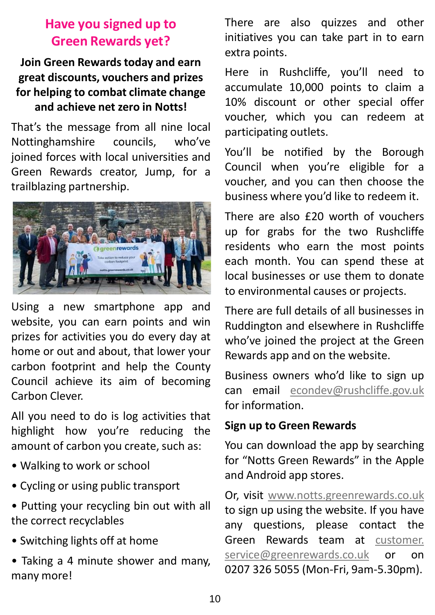#### **Have you signed up to Green Rewards yet?**

#### **Join Green Rewards today and earn great discounts, vouchers and prizes for helping to combat climate change and achieve net zero in Notts!**

That's the message from all nine local Nottinghamshire councils, who've joined forces with local universities and Green Rewards creator, Jump, for a trailblazing partnership.



Using a new smartphone app and website, you can earn points and win prizes for activities you do every day at home or out and about, that lower your carbon footprint and help the County Council achieve its aim of becoming Carbon Clever.

All you need to do is log activities that highlight how you're reducing the amount of carbon you create, such as:

- Walking to work or school
- Cycling or using public transport
- Putting your recycling bin out with all the correct recyclables
- Switching lights off at home
- Taking a 4 minute shower and many, many more!

There are also quizzes and other initiatives you can take part in to earn extra points.

Here in Rushcliffe, you'll need to accumulate 10,000 points to claim a 10% discount or other special offer voucher, which you can redeem at participating outlets.

You'll be notified by the Borough Council when you're eligible for a voucher, and you can then choose the business where you'd like to redeem it.

There are also £20 worth of vouchers up for grabs for the two Rushcliffe residents who earn the most points each month. You can spend these at local businesses or use them to donate to environmental causes or projects.

There are full details of all businesses in Ruddington and elsewhere in Rushcliffe who've joined the project at the Green Rewards app and on the website.

Business owners who'd like to sign up can email [econdev@rushcliffe.gov.uk](mailto:econdev@rushcliffe.gov.uk) for information.

#### **Sign up to Green Rewards**

You can download the app by searching for "Notts Green Rewards" in the Apple and Android app stores.

Or, visit [www.notts.greenrewards.co.uk](http://www.notts.greenrewards.co.uk/) to sign up using the website. If you have any questions, please contact the Green Rewards team at customer. [service@greenrewards.co.uk](mailto:customer.service@greenrewards.co.uk) or on 0207 326 5055 (Mon-Fri, 9am-5.30pm).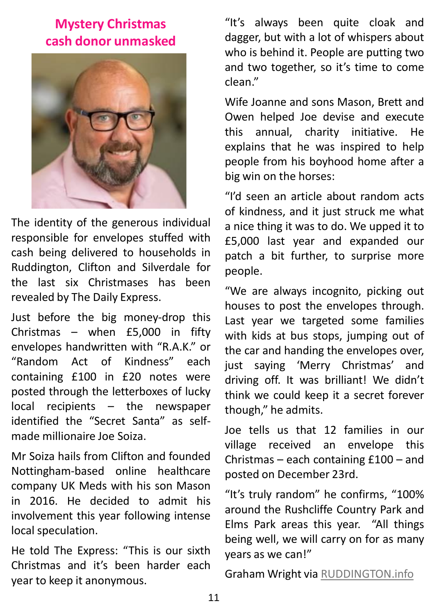#### **Mystery Christmas cash donor unmasked**



The identity of the generous individual responsible for envelopes stuffed with cash being delivered to households in Ruddington, Clifton and Silverdale for the last six Christmases has been revealed by The Daily Express.

Just before the big money-drop this Christmas – when £5,000 in fifty envelopes handwritten with "R.A.K." or "Random Act of Kindness" each containing £100 in £20 notes were posted through the letterboxes of lucky local recipients – the newspaper identified the "Secret Santa" as selfmade millionaire Joe Soiza.

Mr Soiza hails from Clifton and founded Nottingham-based online healthcare company UK Meds with his son Mason in 2016. He decided to admit his involvement this year following intense local speculation.

He told The Express: "This is our sixth Christmas and it's been harder each year to keep it anonymous.

"It's always been quite cloak and dagger, but with a lot of whispers about who is behind it. People are putting two and two together, so it's time to come clean."

Wife Joanne and sons Mason, Brett and Owen helped Joe devise and execute this annual, charity initiative. He explains that he was inspired to help people from his boyhood home after a big win on the horses:

"I'd seen an article about random acts of kindness, and it just struck me what a nice thing it was to do. We upped it to £5,000 last year and expanded our patch a bit further, to surprise more people.

"We are always incognito, picking out houses to post the envelopes through. Last year we targeted some families with kids at bus stops, jumping out of the car and handing the envelopes over, just saying 'Merry Christmas' and driving off. It was brilliant! We didn't think we could keep it a secret forever though," he admits.

Joe tells us that 12 families in our village received an envelope this Christmas – each containing £100 – and posted on December 23rd.

"It's truly random" he confirms, "100% around the Rushcliffe Country Park and Elms Park areas this year. "All things being well, we will carry on for as many years as we can!"

Graham Wright via [RUDDINGTON.info](http://www.ruddington.info/)